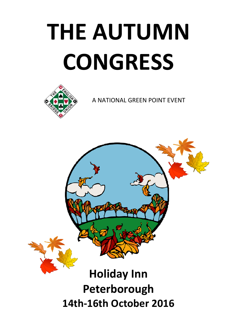# **THE AUTUMN CONGRESS**



A NATIONAL GREEN POINT EVENT

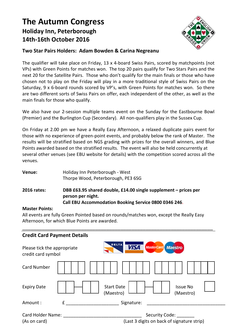# **The Autumn Congress Holiday Inn, Peterborough 14th‐16th October 2016**



#### **Two Star Pairs Holders: Adam Bowden & Carina Negreanu**

The qualifier will take place on Friday, 13 x 4‐board Swiss Pairs, scored by matchpoints (not VPs) with Green Points for matches won. The top 20 pairs qualify for Two Stars Pairs and the next 20 for the Satellite Pairs. Those who don't qualify for the main finals or those who have chosen not to play on the Friday will play in a more traditional style of Swiss Pairs on the Saturday, 9 x 6‐board rounds scored by VP's, with Green Points for matches won. So there are two different sorts of Swiss Pairs on offer, each independent of the other, as well as the main finals for those who qualify.

We also have our 2-session multiple teams event on the Sunday for the Eastbourne Bowl (Premier) and the Burlington Cup (Secondary). All non‐qualifiers play in the Sussex Cup.

On Friday at 2.00 pm we have a Really Easy Afternoon, a relaxed duplicate pairs event for those with no experience of green‐point events, and probably below the rank of Master. The results will be stratified based on NGS grading with prizes for the overall winners, and Blue Points awarded based on the stratified results. The event will also be held concurrently at several other venues (see EBU website for details) with the competition scored across all the venues.

| Holiday Inn Peterborough - West<br>Venue:<br>Thorpe Wood, Peterborough, PE3 6SG |                                                                                                                                               |  |  |
|---------------------------------------------------------------------------------|-----------------------------------------------------------------------------------------------------------------------------------------------|--|--|
| <b>2016 rates:</b>                                                              | DBB £63.95 shared double, £14.00 single supplement – prices per<br>person per night.<br>Call EBU Accommodation Booking Service 0800 0346 246. |  |  |

#### **Master Points:**

All events are fully Green Pointed based on rounds/matches won, except the Really Easy Afternoon, for which Blue Points are awarded.

| <b>Credit Card Payment Details</b>                |   |                                                                |  |
|---------------------------------------------------|---|----------------------------------------------------------------|--|
| Please tick the appropriate<br>credit card symbol |   | DELTA<br>MasterCard Maestro<br><b>VISA</b>                     |  |
| <b>Card Number</b>                                |   |                                                                |  |
| <b>Expiry Date</b>                                |   | <b>Start Date</b><br><b>Issue No</b><br>(Maestro)<br>(Maestro) |  |
| Amount:                                           | f | Signature:                                                     |  |
| Card Holder Name:<br>(As on card)                 |   | Security Code:<br>(Last 3 digits on back of signature strip)   |  |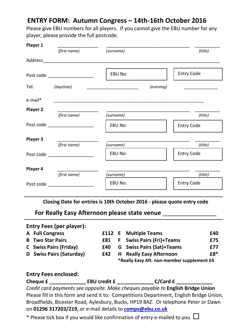# **ENTRY FORM: Autumn Congress – 14th‐16th October 2016**

Please give EBU numbers for all players. If you cannot give the EBU number for any player, please provide the full postcode.

| Player 1                                                                                                        |                                                                                                                                                                                                                               |                                                           |                   |
|-----------------------------------------------------------------------------------------------------------------|-------------------------------------------------------------------------------------------------------------------------------------------------------------------------------------------------------------------------------|-----------------------------------------------------------|-------------------|
|                                                                                                                 | (first name)                                                                                                                                                                                                                  | (surname)                                                 | (title)           |
|                                                                                                                 | Address                                                                                                                                                                                                                       |                                                           |                   |
|                                                                                                                 | Post code and the state of the state of the state of the state of the state of the state of the state of the state of the state of the state of the state of the state of the state of the state of the state of the state of | <b>EBU No:</b>                                            | Entry Code        |
| Tel: Telesting the state of the state of the state of the state of the state of the state of the state of the s | (daytime)                                                                                                                                                                                                                     | (evening)<br>the company of the company of the company of |                   |
| e-mail*                                                                                                         |                                                                                                                                                                                                                               |                                                           |                   |
| Player 2                                                                                                        |                                                                                                                                                                                                                               |                                                           |                   |
|                                                                                                                 | (first name)                                                                                                                                                                                                                  | (surname)                                                 | (title)           |
|                                                                                                                 | Post code _____________________                                                                                                                                                                                               | EBU No:                                                   | <b>Entry Code</b> |
| Player 3                                                                                                        |                                                                                                                                                                                                                               |                                                           |                   |
|                                                                                                                 | (first name)                                                                                                                                                                                                                  | (surname)                                                 | (title)           |
|                                                                                                                 | Post code and the state of the state of the state of the state of the state of the state of the state of the s                                                                                                                | <b>EBU No:</b>                                            | <b>Entry Code</b> |
| Player 4                                                                                                        |                                                                                                                                                                                                                               |                                                           |                   |
|                                                                                                                 | (first name)                                                                                                                                                                                                                  | (surname)                                                 | (title)           |
|                                                                                                                 | Post code and the state of the state of the state of the state of the state of the state of the state of the state of the state of the state of the state of the state of the state of the state of the state of the state of | EBU No:                                                   | <b>Entry Code</b> |

**Closing Date for entries is 10th October 2016 ‐ please quote entry code** 

**For Really Easy Afternoon please state venue** \_\_\_\_\_\_\_\_\_\_\_\_\_\_\_\_

## **Entry Fees (per player):**

| A Full Congress          |      | <b>E112 E</b> Multiple Teams               | £40 |
|--------------------------|------|--------------------------------------------|-----|
| <b>B</b> Two Star Pairs  | £81. | <b>F</b> Swiss Pairs (Fri)+Teams           | £75 |
| C Swiss Pairs (Friday)   | £40. | <b>G</b> Swiss Pairs (Sat)+Teams           | £77 |
| D Swiss Pairs (Saturday) | £42  | <b>H</b> Really Easy Afternoon             | £8* |
|                          |      | *Really Easy Aft. non-member supplement £4 |     |

### **Entry Fees enclosed:**

| Cheque £ | <b>EBU credit £</b> | C/Card f |
|----------|---------------------|----------|
|          |                     |          |

*Credit card payments see opposite. Make cheques payable to* **English Bridge Union**  Please fill in this form and send it to: Competitions Department, English Bridge Union, Broadfields, Bicester Road, Aylesbury, Bucks, HP19 8AZ. Or telephone Peter or Dawn on **01296 317203/219,** or e‐mail details to **[comps@ebu.co.uk](mailto:comps@ebu.co.uk)**

\* Please tick box if you would like confirmation of entry e-mailed to you  $\Box$